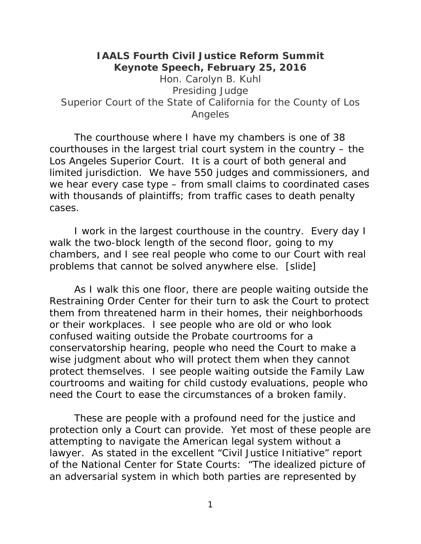## **IAALS Fourth Civil Justice Reform Summit Keynote Speech, February 25, 2016**

Hon. Carolyn B. Kuhl Presiding Judge Superior Court of the State of California for the County of Los Angeles

The courthouse where I have my chambers is one of 38 courthouses in the largest trial court system in the country – the Los Angeles Superior Court. It is a court of both general and limited jurisdiction. We have 550 judges and commissioners, and we hear every case type – from small claims to coordinated cases with thousands of plaintiffs; from traffic cases to death penalty cases.

I work in the largest courthouse in the country. Every day I walk the two-block length of the second floor, going to my chambers, and I see real people who come to our Court with real problems that cannot be solved anywhere else. [slide]

As I walk this one floor, there are people waiting outside the Restraining Order Center for their turn to ask the Court to protect them from threatened harm in their homes, their neighborhoods or their workplaces. I see people who are old or who look confused waiting outside the Probate courtrooms for a conservatorship hearing, people who need the Court to make a wise judgment about who will protect them when they cannot protect themselves. I see people waiting outside the Family Law courtrooms and waiting for child custody evaluations, people who need the Court to ease the circumstances of a broken family.

 These are people with a profound need for the justice and protection only a Court can provide. Yet most of these people are attempting to navigate the American legal system without a lawyer. As stated in the excellent "Civil Justice Initiative" report of the National Center for State Courts: "The idealized picture of an adversarial system in which both parties are represented by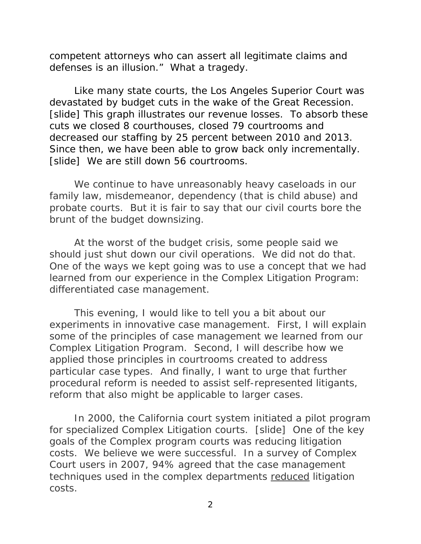competent attorneys who can assert all legitimate claims and defenses is an illusion." What a tragedy.

 Like many state courts, the Los Angeles Superior Court was devastated by budget cuts in the wake of the Great Recession. [slide] This graph illustrates our revenue losses. To absorb these cuts we closed 8 courthouses, closed 79 courtrooms and decreased our staffing by 25 percent between 2010 and 2013. Since then, we have been able to grow back only incrementally. [slide] We are still down 56 courtrooms.

We continue to have unreasonably heavy caseloads in our family law, misdemeanor, dependency (that is child abuse) and probate courts. But it is fair to say that our civil courts bore the brunt of the budget downsizing.

 At the worst of the budget crisis, some people said we should just shut down our civil operations. We did not do that. One of the ways we kept going was to use a concept that we had learned from our experience in the Complex Litigation Program: differentiated case management.

 This evening, I would like to tell you a bit about our experiments in innovative case management. First, I will explain some of the principles of case management we learned from our Complex Litigation Program. Second, I will describe how we applied those principles in courtrooms created to address particular case types. And finally, I want to urge that further procedural reform is needed to assist self-represented litigants, reform that also might be applicable to larger cases.

 In 2000, the California court system initiated a pilot program for specialized Complex Litigation courts. [slide] One of the key goals of the Complex program courts was reducing litigation costs. We believe we were successful. In a survey of Complex Court users in 2007, 94% agreed that the case management techniques used in the complex departments reduced litigation costs.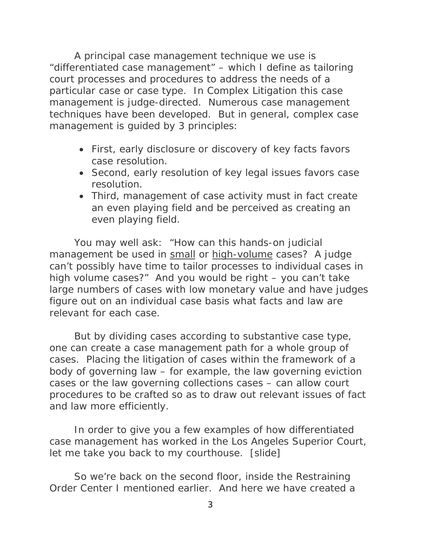A principal case management technique we use is "differentiated case management" – which I define as tailoring court processes and procedures to address the needs of a particular case or case type. In Complex Litigation this case management is judge-directed. Numerous case management techniques have been developed. But in general, complex case management is guided by 3 principles:

- First, early disclosure or discovery of key facts favors case resolution.
- Second, early resolution of key legal issues favors case resolution.
- Third, management of case activity must in fact create an even playing field and be perceived as creating an even playing field.

You may well ask: "How can this hands-on judicial management be used in small or high-volume cases? A judge can't possibly have time to tailor processes to individual cases in high volume cases?" And you would be right – you can't take large numbers of cases with low monetary value and have judges figure out on an individual case basis what facts and law are relevant for each case.

But by dividing cases according to substantive case type, one can create a case management path for a whole group of cases. Placing the litigation of cases within the framework of a body of governing law – for example, the law governing eviction cases or the law governing collections cases – can allow court procedures to be crafted so as to draw out relevant issues of fact and law more efficiently.

In order to give you a few examples of how differentiated case management has worked in the Los Angeles Superior Court, let me take you back to my courthouse. [slide]

So we're back on the second floor, inside the Restraining Order Center I mentioned earlier. And here we have created a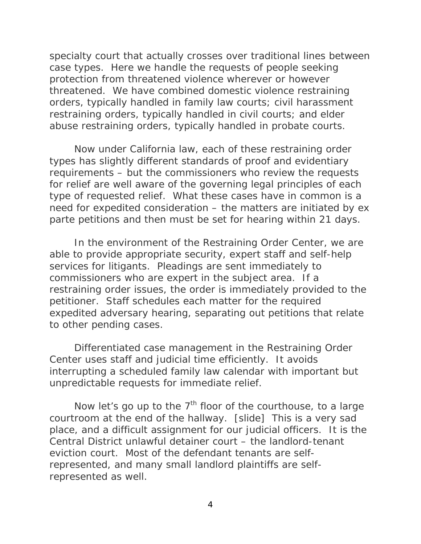specialty court that actually crosses over traditional lines between case types. Here we handle the requests of people seeking protection from threatened violence wherever or however threatened. We have combined domestic violence restraining orders, typically handled in family law courts; civil harassment restraining orders, typically handled in civil courts; and elder abuse restraining orders, typically handled in probate courts.

Now under California law, each of these restraining order types has slightly different standards of proof and evidentiary requirements – but the commissioners who review the requests for relief are well aware of the governing legal principles of each type of requested relief. What these cases have in common is a need for expedited consideration – the matters are initiated by ex parte petitions and then must be set for hearing within 21 days.

In the environment of the Restraining Order Center, we are able to provide appropriate security, expert staff and self-help services for litigants. Pleadings are sent immediately to commissioners who are expert in the subject area. If a restraining order issues, the order is immediately provided to the petitioner. Staff schedules each matter for the required expedited adversary hearing, separating out petitions that relate to other pending cases.

Differentiated case management in the Restraining Order Center uses staff and judicial time efficiently. It avoids interrupting a scheduled family law calendar with important but unpredictable requests for immediate relief.

Now let's go up to the  $7<sup>th</sup>$  floor of the courthouse, to a large courtroom at the end of the hallway. [slide] This is a very sad place, and a difficult assignment for our judicial officers. It is the Central District unlawful detainer court – the landlord-tenant eviction court. Most of the defendant tenants are selfrepresented, and many small landlord plaintiffs are selfrepresented as well.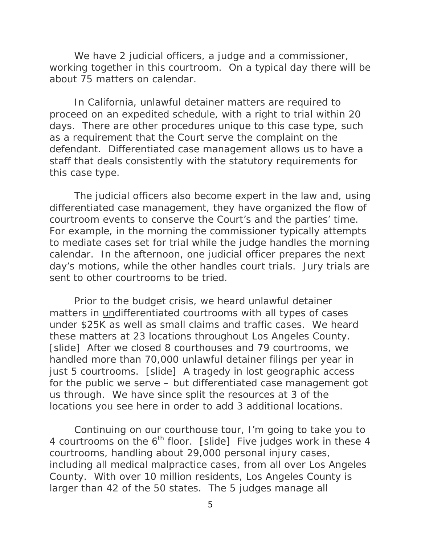We have 2 judicial officers, a judge and a commissioner, working together in this courtroom. On a typical day there will be about 75 matters on calendar.

In California, unlawful detainer matters are required to proceed on an expedited schedule, with a right to trial within 20 days. There are other procedures unique to this case type, such as a requirement that the Court serve the complaint on the defendant. Differentiated case management allows us to have a staff that deals consistently with the statutory requirements for this case type.

The judicial officers also become expert in the law and, using differentiated case management, they have organized the flow of courtroom events to conserve the Court's and the parties' time. For example, in the morning the commissioner typically attempts to mediate cases set for trial while the judge handles the morning calendar. In the afternoon, one judicial officer prepares the next day's motions, while the other handles court trials. Jury trials are sent to other courtrooms to be tried.

Prior to the budget crisis, we heard unlawful detainer matters in undifferentiated courtrooms with all types of cases under \$25K as well as small claims and traffic cases. We heard these matters at 23 locations throughout Los Angeles County. [slide] After we closed 8 courthouses and 79 courtrooms, we handled more than 70,000 unlawful detainer filings per year in just 5 courtrooms. [slide] A tragedy in lost geographic access for the public we serve – but differentiated case management got us through. We have since split the resources at 3 of the locations you see here in order to add 3 additional locations.

Continuing on our courthouse tour, I'm going to take you to 4 courtrooms on the  $6<sup>th</sup>$  floor. [slide] Five judges work in these 4 courtrooms, handling about 29,000 personal injury cases, including all medical malpractice cases, from all over Los Angeles County. With over 10 million residents, Los Angeles County is larger than 42 of the 50 states. The 5 judges manage all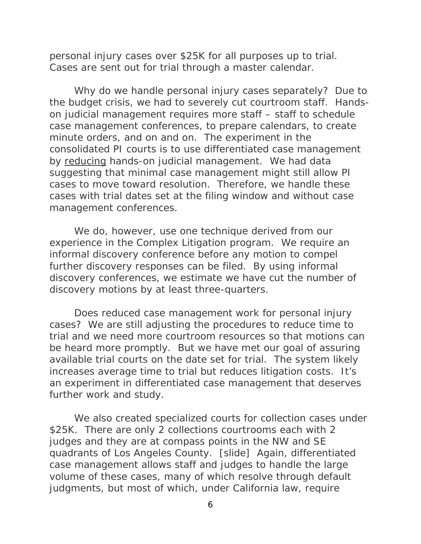personal injury cases over \$25K for all purposes up to trial. Cases are sent out for trial through a master calendar.

Why do we handle personal injury cases separately? Due to the budget crisis, we had to severely cut courtroom staff. Handson judicial management requires more staff – staff to schedule case management conferences, to prepare calendars, to create minute orders, and on and on. The experiment in the consolidated PI courts is to use differentiated case management by reducing hands-on judicial management. We had data suggesting that minimal case management might still allow PI cases to move toward resolution. Therefore, we handle these cases with trial dates set at the filing window and without case management conferences.

We do, however, use one technique derived from our experience in the Complex Litigation program. We require an informal discovery conference before any motion to compel further discovery responses can be filed. By using informal discovery conferences, we estimate we have cut the number of discovery motions by at least three-quarters.

Does reduced case management work for personal injury cases? We are still adjusting the procedures to reduce time to trial and we need more courtroom resources so that motions can be heard more promptly. But we have met our goal of assuring available trial courts on the date set for trial. The system likely *increases* average time to trial but *reduces* litigation costs. It's an experiment in differentiated case management that deserves further work and study.

We also created specialized courts for collection cases under \$25K. There are only 2 collections courtrooms each with 2 judges and they are at compass points in the NW and SE quadrants of Los Angeles County. [slide] Again, differentiated case management allows staff and judges to handle the large volume of these cases, many of which resolve through default judgments, but most of which, under California law, require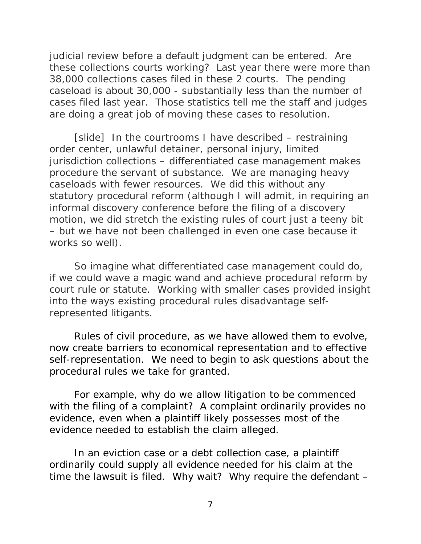judicial review before a default judgment can be entered. Are these collections courts working? Last year there were more than 38,000 collections cases filed in these 2 courts. The pending caseload is about 30,000 - substantially less than the number of cases filed last year. Those statistics tell me the staff and judges are doing a great job of moving these cases to resolution.

[slide] In the courtrooms I have described – restraining order center, unlawful detainer, personal injury, limited jurisdiction collections – differentiated case management makes procedure the servant of substance. We are managing heavy caseloads with fewer resources. We did this without any statutory procedural reform (although I will admit, in requiring an informal discovery conference before the filing of a discovery motion, we did stretch the existing rules of court just a teeny bit – but we have not been challenged in even one case because it works so well).

 So imagine what differentiated case management could do, if we could wave a magic wand and achieve procedural reform by court rule or statute. Working with smaller cases provided insight into the ways existing procedural rules disadvantage selfrepresented litigants.

Rules of civil procedure, as we have allowed them to evolve, now create barriers to economical representation and to effective self-representation. We need to begin to ask questions about the procedural rules we take for granted.

For example, why do we allow litigation to be commenced with the filing of a complaint? A complaint ordinarily provides no evidence, even when a plaintiff likely possesses most of the evidence needed to establish the claim alleged.

In an eviction case or a debt collection case, a plaintiff ordinarily could supply all evidence needed for his claim at the time the lawsuit is filed. Why wait? Why require the defendant –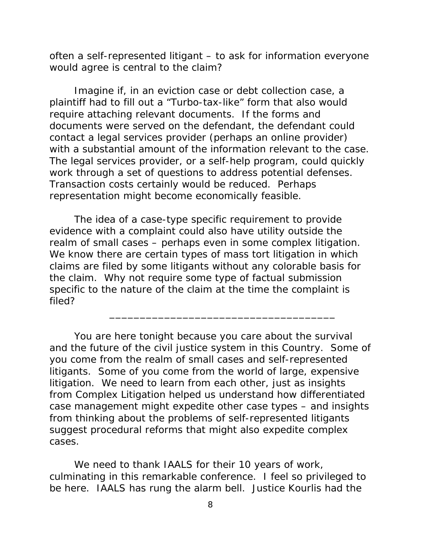often a self-represented litigant – to ask for information everyone would agree is central to the claim?

Imagine if, in an eviction case or debt collection case, a plaintiff had to fill out a "Turbo-tax-like" form that also would require attaching relevant documents. If the forms and documents were served on the defendant, the defendant could contact a legal services provider (perhaps an online provider) with a substantial amount of the information relevant to the case. The legal services provider, or a self-help program, could quickly work through a set of questions to address potential defenses. Transaction costs certainly would be reduced. Perhaps representation might become economically feasible.

The idea of a case-type specific requirement to provide evidence with a complaint could also have utility outside the realm of small cases – perhaps even in some complex litigation. We know there are certain types of mass tort litigation in which claims are filed by some litigants without any colorable basis for the claim. Why not require some type of factual submission specific to the nature of the claim at the time the complaint is filed?

You are here tonight because you care about the survival and the future of the civil justice system in this Country. Some of you come from the realm of small cases and self-represented litigants. Some of you come from the world of large, expensive litigation. We need to learn from each other, just as insights from Complex Litigation helped us understand how differentiated case management might expedite other case types – and insights from thinking about the problems of self-represented litigants suggest procedural reforms that might also expedite complex cases.

\_\_\_\_\_\_\_\_\_\_\_\_\_\_\_\_\_\_\_\_\_\_\_\_\_\_\_\_\_\_\_\_\_\_\_\_\_

We need to thank IAALS for their 10 years of work, culminating in this remarkable conference. I feel so privileged to be here. IAALS has rung the alarm bell. Justice Kourlis had the